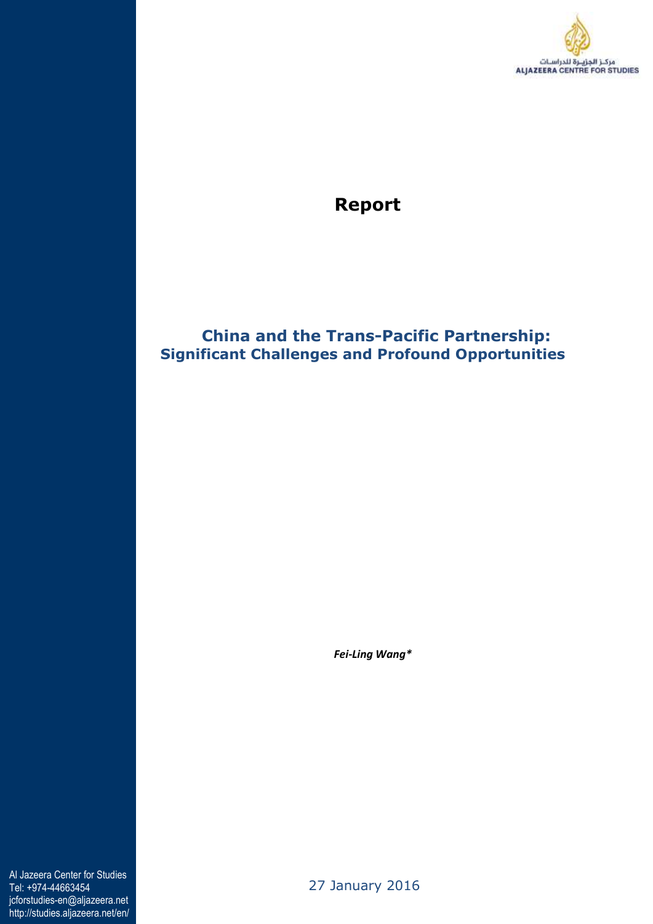

# **Report**

## **China and the Trans-Pacific Partnership: Significant Challenges and Profound Opportunities**

 *Fei-Ling Wang\**

Al Jazeera Center for Studies Tel: +974-44663454 jcforstudies-en@aljazeera.net http://studies.aljazeera.net/en/

27 January 2016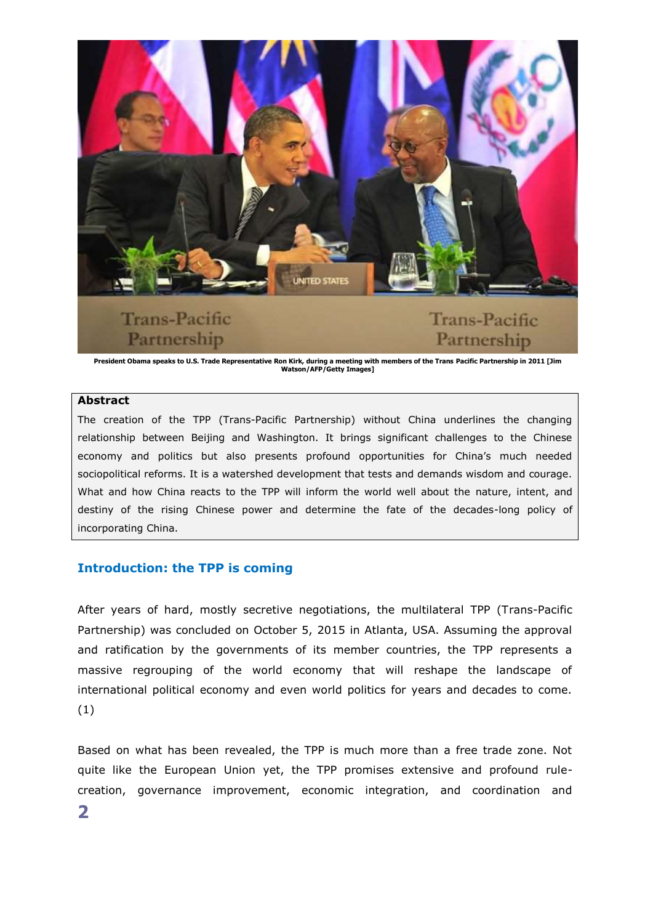

**President Obama speaks to U.S. Trade Representative Ron Kirk, during a meeting with members of the Trans Pacific Partnership in 2011 [Jim Watson/AFP/Getty Images]**

#### **Abstract**

The creation of the TPP (Trans-Pacific Partnership) without China underlines the changing relationship between Beijing and Washington. It brings significant challenges to the Chinese economy and politics but also presents profound opportunities for China's much needed sociopolitical reforms. It is a watershed development that tests and demands wisdom and courage. What and how China reacts to the TPP will inform the world well about the nature, intent, and destiny of the rising Chinese power and determine the fate of the decades-long policy of incorporating China.

### **Introduction: the TPP is coming**

After years of hard, mostly secretive negotiations, the multilateral TPP (Trans-Pacific Partnership) was concluded on October 5, 2015 in Atlanta, USA. Assuming the approval and ratification by the governments of its member countries, the TPP represents a massive regrouping of the world economy that will reshape the landscape of international political economy and even world politics for years and decades to come. (1)

Based on what has been revealed, the TPP is much more than a free trade zone. Not quite like the European Union yet, the TPP promises extensive and profound rulecreation, governance improvement, economic integration, and coordination and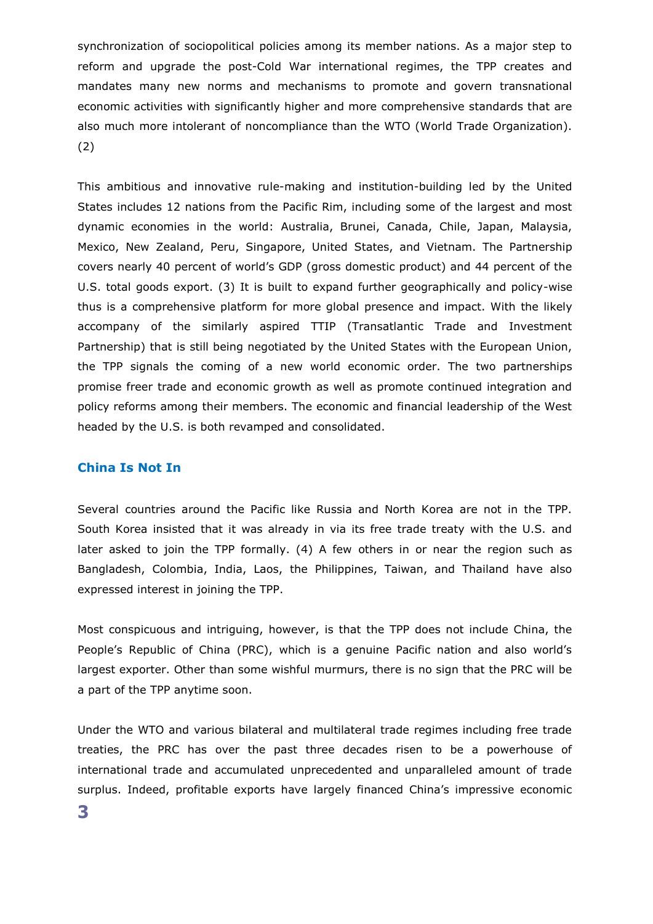synchronization of sociopolitical policies among its member nations. As a major step to reform and upgrade the post-Cold War international regimes, the TPP creates and mandates many new norms and mechanisms to promote and govern transnational economic activities with significantly higher and more comprehensive standards that are also much more intolerant of noncompliance than the WTO (World Trade Organization). (2)

This ambitious and innovative rule-making and institution-building led by the United States includes 12 nations from the Pacific Rim, including some of the largest and most dynamic economies in the world: Australia, Brunei, Canada, Chile, Japan, Malaysia, Mexico, New Zealand, Peru, Singapore, United States, and Vietnam. The Partnership covers nearly 40 percent of world's GDP (gross domestic product) and 44 percent of the U.S. total goods export. (3) It is built to expand further geographically and policy-wise thus is a comprehensive platform for more global presence and impact. With the likely accompany of the similarly aspired TTIP (Transatlantic Trade and Investment Partnership) that is still being negotiated by the United States with the European Union, the TPP signals the coming of a new world economic order. The two partnerships promise freer trade and economic growth as well as promote continued integration and policy reforms among their members. The economic and financial leadership of the West headed by the U.S. is both revamped and consolidated.

#### **China Is Not In**

Several countries around the Pacific like Russia and North Korea are not in the TPP. South Korea insisted that it was already in via its free trade treaty with the U.S. and later asked to join the TPP formally. (4) A few others in or near the region such as Bangladesh, Colombia, India, Laos, the Philippines, Taiwan, and Thailand have also expressed interest in joining the TPP.

Most conspicuous and intriguing, however, is that the TPP does not include China, the People's Republic of China (PRC), which is a genuine Pacific nation and also world's largest exporter. Other than some wishful murmurs, there is no sign that the PRC will be a part of the TPP anytime soon.

Under the WTO and various bilateral and multilateral trade regimes including free trade treaties, the PRC has over the past three decades risen to be a powerhouse of international trade and accumulated unprecedented and unparalleled amount of trade surplus. Indeed, profitable exports have largely financed China's impressive economic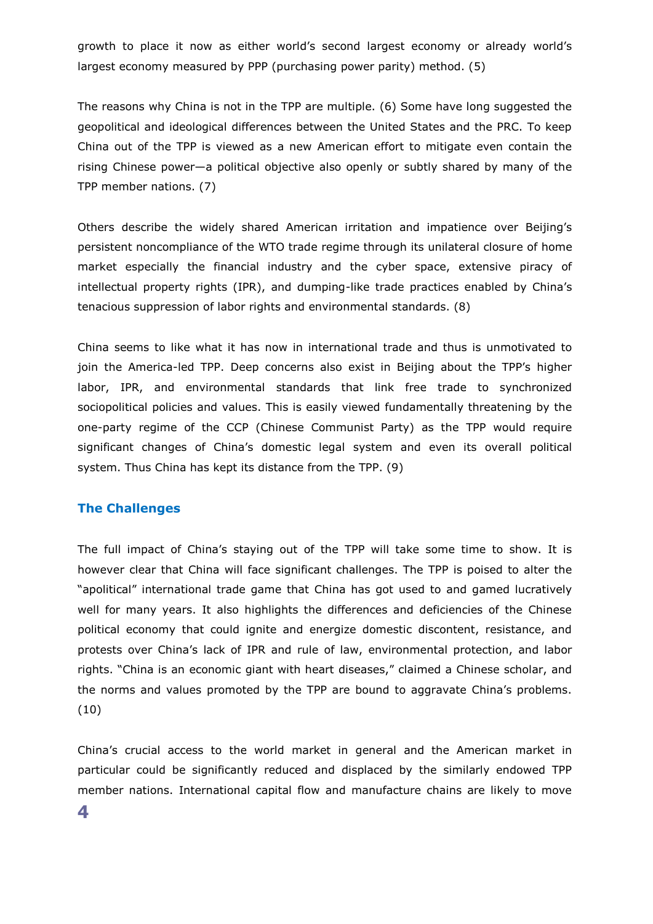growth to place it now as either world's second largest economy or already world's largest economy measured by PPP (purchasing power parity) method. (5)

The reasons why China is not in the TPP are multiple. (6) Some have long suggested the geopolitical and ideological differences between the United States and the PRC. To keep China out of the TPP is viewed as a new American effort to mitigate even contain the rising Chinese power—a political objective also openly or subtly shared by many of the TPP member nations. (7)

Others describe the widely shared American irritation and impatience over Beijing's persistent noncompliance of the WTO trade regime through its unilateral closure of home market especially the financial industry and the cyber space, extensive piracy of intellectual property rights (IPR), and dumping-like trade practices enabled by China's tenacious suppression of labor rights and environmental standards. (8)

China seems to like what it has now in international trade and thus is unmotivated to join the America-led TPP. Deep concerns also exist in Beijing about the TPP's higher labor, IPR, and environmental standards that link free trade to synchronized sociopolitical policies and values. This is easily viewed fundamentally threatening by the one-party regime of the CCP (Chinese Communist Party) as the TPP would require significant changes of China's domestic legal system and even its overall political system. Thus China has kept its distance from the TPP. (9)

#### **The Challenges**

The full impact of China's staying out of the TPP will take some time to show. It is however clear that China will face significant challenges. The TPP is poised to alter the "apolitical" international trade game that China has got used to and gamed lucratively well for many years. It also highlights the differences and deficiencies of the Chinese political economy that could ignite and energize domestic discontent, resistance, and protests over China's lack of IPR and rule of law, environmental protection, and labor rights. "China is an economic giant with heart diseases," claimed a Chinese scholar, and the norms and values promoted by the TPP are bound to aggravate China's problems. (10)

China's crucial access to the world market in general and the American market in particular could be significantly reduced and displaced by the similarly endowed TPP member nations. International capital flow and manufacture chains are likely to move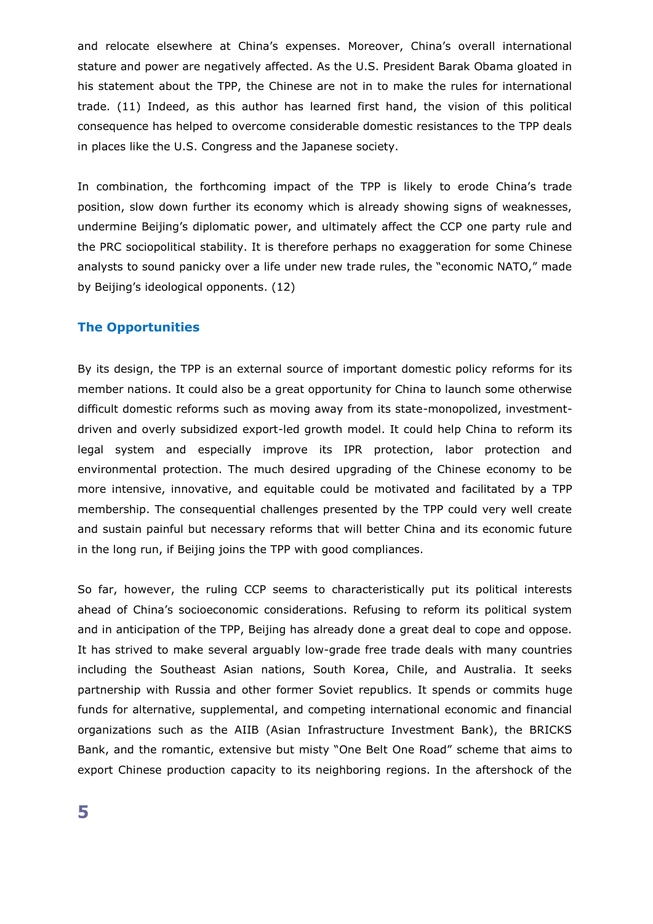and relocate elsewhere at China's expenses. Moreover, China's overall international stature and power are negatively affected. As the U.S. President Barak Obama gloated in his statement about the TPP, the Chinese are not in to make the rules for international trade. (11) Indeed, as this author has learned first hand, the vision of this political consequence has helped to overcome considerable domestic resistances to the TPP deals in places like the U.S. Congress and the Japanese society.

In combination, the forthcoming impact of the TPP is likely to erode China's trade position, slow down further its economy which is already showing signs of weaknesses, undermine Beijing's diplomatic power, and ultimately affect the CCP one party rule and the PRC sociopolitical stability. It is therefore perhaps no exaggeration for some Chinese analysts to sound panicky over a life under new trade rules, the "economic NATO," made by Beijing's ideological opponents. (12)

#### **The Opportunities**

By its design, the TPP is an external source of important domestic policy reforms for its member nations. It could also be a great opportunity for China to launch some otherwise difficult domestic reforms such as moving away from its state-monopolized, investmentdriven and overly subsidized export-led growth model. It could help China to reform its legal system and especially improve its IPR protection, labor protection and environmental protection. The much desired upgrading of the Chinese economy to be more intensive, innovative, and equitable could be motivated and facilitated by a TPP membership. The consequential challenges presented by the TPP could very well create and sustain painful but necessary reforms that will better China and its economic future in the long run, if Beijing joins the TPP with good compliances.

So far, however, the ruling CCP seems to characteristically put its political interests ahead of China's socioeconomic considerations. Refusing to reform its political system and in anticipation of the TPP, Beijing has already done a great deal to cope and oppose. It has strived to make several arguably low-grade free trade deals with many countries including the Southeast Asian nations, South Korea, Chile, and Australia. It seeks partnership with Russia and other former Soviet republics. It spends or commits huge funds for alternative, supplemental, and competing international economic and financial organizations such as the AIIB (Asian Infrastructure Investment Bank), the BRICKS Bank, and the romantic, extensive but misty "One Belt One Road" scheme that aims to export Chinese production capacity to its neighboring regions. In the aftershock of the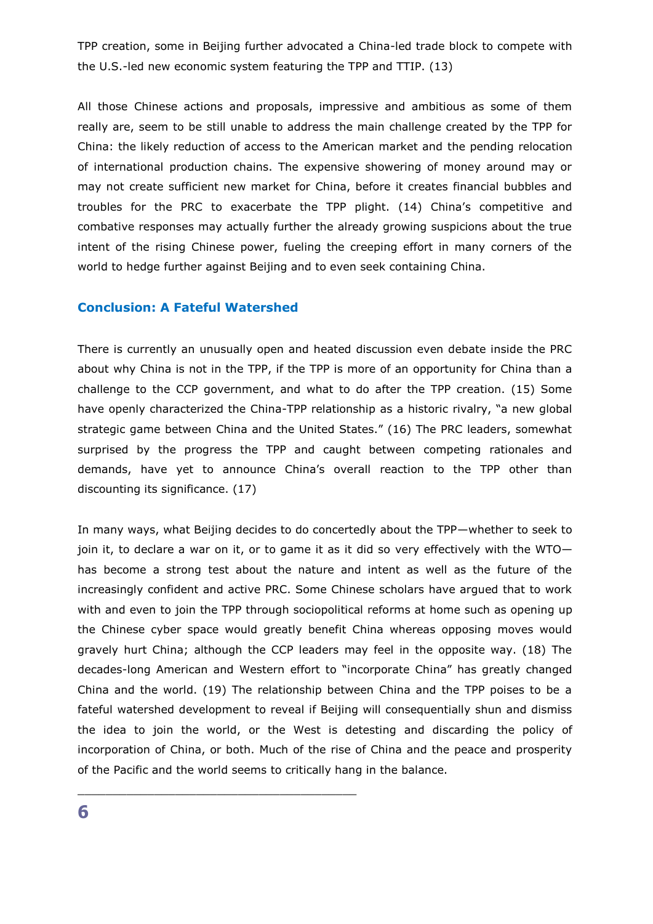TPP creation, some in Beijing further advocated a China-led trade block to compete with the U.S.-led new economic system featuring the TPP and TTIP. (13)

All those Chinese actions and proposals, impressive and ambitious as some of them really are, seem to be still unable to address the main challenge created by the TPP for China: the likely reduction of access to the American market and the pending relocation of international production chains. The expensive showering of money around may or may not create sufficient new market for China, before it creates financial bubbles and troubles for the PRC to exacerbate the TPP plight. (14) China's competitive and combative responses may actually further the already growing suspicions about the true intent of the rising Chinese power, fueling the creeping effort in many corners of the world to hedge further against Beijing and to even seek containing China.

#### **Conclusion: A Fateful Watershed**

\_\_\_\_\_\_\_\_\_\_\_\_\_\_\_\_\_\_\_\_\_\_\_\_\_\_\_\_\_\_\_\_\_\_\_\_\_\_\_\_

There is currently an unusually open and heated discussion even debate inside the PRC about why China is not in the TPP, if the TPP is more of an opportunity for China than a challenge to the CCP government, and what to do after the TPP creation. (15) Some have openly characterized the China-TPP relationship as a historic rivalry, "a new global strategic game between China and the United States." (16) The PRC leaders, somewhat surprised by the progress the TPP and caught between competing rationales and demands, have yet to announce China's overall reaction to the TPP other than discounting its significance. (17)

In many ways, what Beijing decides to do concertedly about the TPP—whether to seek to join it, to declare a war on it, or to game it as it did so very effectively with the WTO has become a strong test about the nature and intent as well as the future of the increasingly confident and active PRC. Some Chinese scholars have argued that to work with and even to join the TPP through sociopolitical reforms at home such as opening up the Chinese cyber space would greatly benefit China whereas opposing moves would gravely hurt China; although the CCP leaders may feel in the opposite way. (18) The decades-long American and Western effort to "incorporate China" has greatly changed China and the world. (19) The relationship between China and the TPP poises to be a fateful watershed development to reveal if Beijing will consequentially shun and dismiss the idea to join the world, or the West is detesting and discarding the policy of incorporation of China, or both. Much of the rise of China and the peace and prosperity of the Pacific and the world seems to critically hang in the balance.